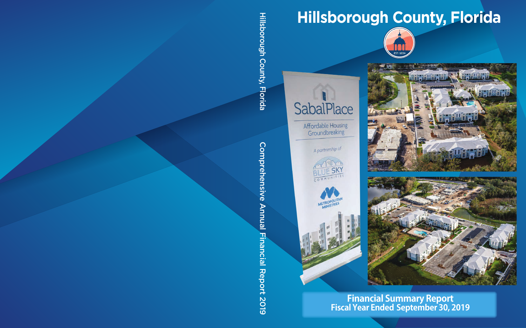# **Hillsborough County, Florida**





**Affordable Housing** Groundbreaking

A partnership of









### **Financial Summary Report Fiscal Year Ended September 30, 2019**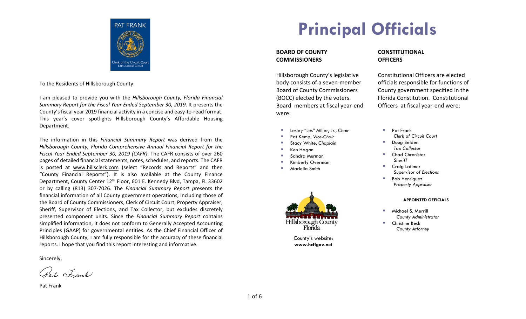

To the Residents of Hillsborough County:

I am pleased to provide you with the *Hillsborough County, Florida Financial Summary Report for the Fiscal Year Ended September 30, 2019*. It presents the County's fiscal year 2019 financial activity in a concise and easy-to-read format. This year's cover spotlights Hillsborough County's Affordable Housing Department.

The information in this *Financial Summary Report* was derived from the *Hillsborough County, Florida Comprehensive Annual Financial Report for the Fiscal Year Ended September 30, 2019 (CAFR)*. The CAFR consists of over 260 pages of detailed financial statements, notes, schedules, and reports. The CAFR is posted at www.hillsclerk.com (select "Records and Reports" and then "County Financial Reports"). It is also available at the County Finance Department, County Center 12<sup>th</sup> Floor, 601 E. Kennedy Blvd, Tampa, FL 33602 or by calling (813) 307-7026. The *Financial Summary Report p*resents the financial information of all County government operations, including those of the Board of County Commissioners, Clerk of Circuit Court, Property Appraiser, Sheriff, Supervisor of Elections, and Tax Collector, but excludes discretely presented component units. Since the *Financial Summary Report* contains simplified information, it does not conform to Generally Accepted Accounting Principles (GAAP) for governmental entities. As the Chief Financial Officer of Hillsborough County, I am fully responsible for the accuracy of these financial reports. I hope that you find this report interesting and informative.

Sincerely,

Pat Frank

Pat Frank

# **Principal Officials**

#### **BOARD OF COUNTY COMMISSIONERS**

Hillsborough County's legislative body consists of a seven-member Board of County Commissioners (BOCC) elected by the voters. Board members at fiscal year-end were:

- Lesley "Les" Miller, Jr., *Chair*
- Pat Kemp, *Vice-Chair*
- Stacy White, *Chaplain*
- Ken Hagan
- Sandra Murman
- Kimberly Overman
- Mariella Smith



County's website: **www.hcflgov.net**

#### **CONSTITUTIONAL OFFICERS**

Constitutional Officers are elected officials responsible for functions of County government specified in the Florida Constitution. Constitutional Officers at fiscal year-end were:

- **Pat Frank**  *Clerk of Circuit Court*
- Doug Belden  *Tax Collector*
- Chad Chronister  *Sheriff*
- **Craig Latimer**  *Supervisor of Elections*
- Bob Henriquez  *Property Appraiser*

#### **APPOINTED OFFICIALS**

- **Michael S. Merrill**  *County Administrator*
- Christine Beck  *County Attorney*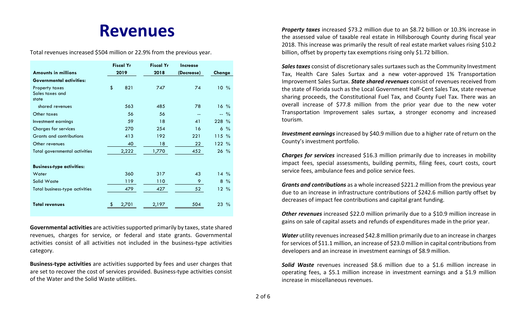## **Revenues**

Total revenues increased \$504 million or 22.9% from the previous year.

|                                            | <b>Fiscal Yr</b> |       | <b>Fiscal Yr</b> | Increase   |                |
|--------------------------------------------|------------------|-------|------------------|------------|----------------|
| <b>Amounts in millions</b>                 | 2019             |       | 2018             | (Decrease) | Change         |
| <b>Governmental activities:</b>            |                  |       |                  |            |                |
| Property taxes<br>Sales taxes and<br>state | \$               | 821   | 747              | 74         | $10\%$         |
| shared revenues                            |                  | 563   | 485              | 78         | $16\%$         |
| Other taxes                                |                  | 56    | 56               | --         | $-$ %          |
| Investment earnings                        |                  | 59    | 18               | 41         | $228 \%$       |
| <b>Charges for services</b>                |                  | 270   | 254              | 16         | $6\frac{9}{6}$ |
| Grants and contributions                   |                  | 413   | 192              | 221        | 115%           |
| Other revenues                             |                  | 40    | 18               | 22         | 122 %          |
| Total governmental activities              |                  | 2,222 | 1,770            | 452        | $26\%$         |
| <b>Business-type activities:</b>           |                  |       |                  |            |                |
| Water                                      |                  | 360   | 317              | 43         | $14\%$         |
| Solid Waste                                |                  | 119   | 110              | 9.         | $8\%$          |
| Total business-type activities             |                  | 479   | 427              | 52         | 12%            |
| <b>Total revenues</b>                      |                  | 2,701 | 2,197            | 504        | $23\%$         |

**Governmental activities** are activities supported primarily by taxes, state shared revenues, charges for service, or federal and state grants. Governmental activities consist of all activities not included in the business-type activities category.

**Business-type activities** are activities supported by fees and user charges that are set to recover the cost of services provided. Business-type activities consist of the Water and the Solid Waste utilities.

*Property taxes* increased \$73.2 million due to an \$8.72 billion or 10.3% increase in the assessed value of taxable real estate in Hillsborough County during fiscal year 2018. This increase was primarily the result of real estate market values rising \$10.2 billion, offset by property tax exemptions rising only \$1.72 billion.

*Sales taxes* consist of discretionary sales surtaxes such as the Community Investment Tax, Health Care Sales Surtax and a new voter-approved 1% Transportation Improvement Sales Surtax. *State shared revenues* consist of revenues received from the state of Florida such as the Local Government Half-Cent Sales Tax, state revenue sharing proceeds, the Constitutional Fuel Tax, and County Fuel Tax. There was an overall increase of \$77.8 million from the prior year due to the new voter Transportation Improvement sales surtax, a stronger economy and increased tourism.

*Investment earnings* increased by \$40.9 million due to a higher rate of return on the County's investment portfolio.

*Charges for services* increased \$16.3 million primarily due to increases in mobility impact fees, special assessments, building permits, filing fees, court costs, court service fees, ambulance fees and police service fees.

*Grants and contributions* as a whole increased \$221.2 million from the previous year due to an increase in infrastructure contributions of \$242.6 million partly offset by decreases of impact fee contributions and capital grant funding.

*Other revenues* increased \$22.0 million primarily due to a \$10.9 million increase in gains on sale of capital assets and refunds of expenditures made in the prior year.

*Water* utility revenues increased \$42.8 million primarily due to an increase in charges for services of \$11.1 million, an increase of \$23.0 million in capital contributions from developers and an increase in investment earnings of \$8.9 million.

*Solid Waste* revenues increased \$8.6 million due to a \$1.6 million increase in operating fees, a \$5.1 million increase in investment earnings and a \$1.9 million increase in miscellaneous revenues.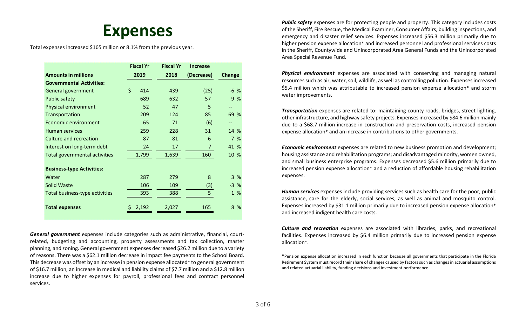### **Expenses**

Total expenses increased \$165 million or 8.1% from the previous year.

|                                      | <b>Fiscal Yr</b> | <b>Fiscal Yr</b> | <b>Increase</b> |               |
|--------------------------------------|------------------|------------------|-----------------|---------------|
| <b>Amounts in millions</b>           | 2019             | 2018             | (Decrease)      | <b>Change</b> |
| <b>Governmental Activities:</b>      |                  |                  |                 |               |
| General government                   | \$<br>414        | 439              | (25)            | $-6$ %        |
| <b>Public safety</b>                 | 689              | 632              | 57              | 9 %           |
| Physical environment                 | 52               | 47               | 5               |               |
| Transportation                       | 209              | 124              | 85              | 69 %          |
| <b>Economic environment</b>          | 65               | 71               | (6)             | $-$           |
| <b>Human services</b>                | 259              | 228              | 31              | 14 %          |
| Culture and recreation               | 87               | 81               | 6               | 7 %           |
| Interest on long-term debt           | 24               | 17               | $\overline{7}$  | 41 %          |
| <b>Total governmental activities</b> | 1,799            | 1,639            | 160             | 10 %          |
| <b>Business-type Activities:</b>     |                  |                  |                 |               |
| Water                                | 287              | 279              | 8               | 3%            |
| Solid Waste                          | 106              | 109              | (3)             | $-3%$         |
| Total business-type activities       | 393              | 388              | 5 <sup>1</sup>  | 1 %           |
| <b>Total expenses</b>                | 2,192            | 2,027            | 165             | 8 %           |

*General government* expenses include categories such as administrative, financial, courtrelated, budgeting and accounting, property assessments and tax collection, master planning, and zoning. General government expenses decreased \$26.2 million due to a variety of reasons. There was a \$62.1 million decrease in impact fee payments to the School Board. This decrease was offset by an increase in pension expense allocated\* to general government of \$16.7 million, an increase in medical and liability claims of \$7.7 million and a \$12.8 million increase due to higher expenses for payroll, professional fees and contract personnel services.

**Public safety** expenses are for protecting people and property. This category includes costs of the Sheriff, Fire Rescue, the Medical Examiner, Consumer Affairs, building inspections, and emergency and disaster relief services. Expenses increased \$56.3 million primarily due to higher pension expense allocation\* and increased personnel and professional services costs in the Sheriff, Countywide and Unincorporated Area General Funds and the Unincorporated Area Special Revenue Fund.

*Physical environment* expenses are associated with conserving and managing natural resources such as air, water, soil, wildlife, as well as controlling pollution. Expenses increased \$5.4 million which was attributable to increased pension expense allocation\* and storm water improvements.

*Transportation* expenses are related to: maintaining county roads, bridges, street lighting, other infrastructure, and highway safety projects. Expenses increased by \$84.6 million mainly due to a \$68.7 million increase in construction and preservation costs, increased pension expense allocation\* and an increase in contributions to other governments.

*Economic environment* expenses are related to new business promotion and development; housing assistance and rehabilitation programs; and disadvantaged minority, women owned, and small business enterprise programs. Expenses decreased \$5.6 million primarily due to increased pension expense allocation\* and a reduction of affordable housing rehabilitation expenses.

*Human services* expenses include providing services such as health care for the poor, public assistance, care for the elderly, social services, as well as animal and mosquito control. Expenses increased by \$31.1 million primarily due to increased pension expense allocation\* and increased indigent health care costs.

*Culture and recreation* expenses are associated with libraries, parks, and recreational facilities. Expenses increased by \$6.4 million primarily due to increased pension expense allocation\*.

\*Pension expense allocation increased in each function because all governments that participate in the Florida Retirement System must record their share of changes caused by factors such as changes in actuarial assumptions and related actuarial liability, funding decisions and investment performance.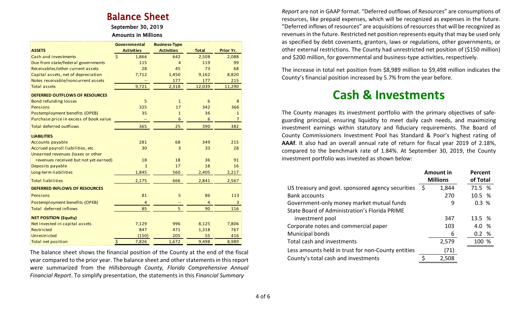# Balance Sheet<br>September 30, 2019

### Amounts in Millions

|                                        | <b>Governmental</b>         | <b>Business-Type</b> |                |                |
|----------------------------------------|-----------------------------|----------------------|----------------|----------------|
| <b>ASSETS</b>                          | <b>Activities</b>           | <b>Activities</b>    | <b>Total</b>   | Prior Yr.      |
| Cash and investments                   | $\dot{\mathsf{S}}$<br>1,866 | 642                  | 2,508          | 2,088          |
| Due from state/federal governments     | 115                         | 4                    | 119            | 99             |
| Receivables/other current assets       | 28                          | 45                   | 73             | 68             |
| Capital assets, net of depreciation    | 7,712                       | 1,450                | 9,162          | 8,820          |
| Notes receivable/noncurrent assets     |                             | 177                  | 177            | 215            |
| <b>Total assets</b>                    | 9,721                       | 2,318                | 12,039         | 11,290         |
| <b>DEFERRED OUTFLOWS OF RESOURCES</b>  |                             |                      |                |                |
| <b>Bond refunding losses</b>           | 5                           | $\mathbf{1}$         | 6              | 8              |
| Pensions                               | 325                         | 17                   | 342            | 366            |
| Postemployment benefits (OPEB)         | 35                          | $\mathbf{1}$         | 36             | $\mathbf{1}$   |
| Purchase price in excess of book value |                             | $6\phantom{1}6$      | 6              | $\overline{7}$ |
| <b>Total deferred outflows</b>         | 365                         | 25                   | 390            | 382            |
| <b>LIABILITIES</b>                     |                             |                      |                |                |
| <b>Accounts payable</b>                | 281                         | 68                   | 349            | 215            |
| Accrued payroll liabilities, etc.      | 30                          | 3                    | 33             | 28             |
| Unearned revenues (taxes or other      |                             |                      |                |                |
| revenues received but not yet earned)  | 18                          | 18                   | 36             | 91             |
| Deposits payable                       | $\mathbf{1}$                | 17                   | 18             | 16             |
| Long-term liabilities                  | 1,845                       | 560                  | 2,405          | 2,217          |
| <b>Total liabilities</b>               | 2,175                       | 666                  | 2,841          | 2,567          |
| <b>DEFERRED INFLOWS OF RESOURCES</b>   |                             |                      |                |                |
| Pensions                               | 81                          | 5                    | 86             | 113            |
| Postemployment benefits (OPEB)         | $\overline{4}$              |                      | $\overline{4}$ | 3              |
| <b>Total deferred inflows</b>          | 85                          | 5                    | 90             | 116            |
| <b>NET POSITION (Equity)</b>           |                             |                      |                |                |
| Net invested in capital assets         | 7,129                       | 996                  | 8,125          | 7,806          |
| Restricted                             | 847                         | 471                  | 1,318          | 767            |
| Unrestricted                           | (150)                       | 205                  | 55             | 416            |
| <b>Total net position</b>              | $\ddot{\varsigma}$<br>7,826 | 1,672                | 9,498          | 8,989          |

The balance sheet shows the financial position of the County at the end of the fiscal year compared to the prior year. The balance sheet and other statements in this report were summarized from the *Hillsborough County, Florida Comprehensive Annual Financial Report*. To simplify presentation, the statements in this *Financial Summary*

*Report* are not in GAAP format. "Deferred outflows of Resources" are consumptions of resources, like prepaid expenses, which will be recognized as expenses in the future. "Deferred inflows of resources" are acquisitions of resources that will be recognized as revenues in the future. Restricted net position represents equity that may be used only as specified by debt covenants, grantors, laws or regulations, other governments, or other external restrictions. The County had unrestricted net position of (\$150 million) and \$200 million, for governmental and business-type activities, respectively.

The increase in total net position from \$8,989 million to \$9,498 million indicates the County's financial position increased by 5.7% from the year before.

### **Cash & Investments**

The County manages its investment portfolio with the primary objectives of safeguarding principal, ensuring liquidity to meet daily cash needs, and maximizing investment earnings within statutory and fiduciary requirements. The Board of County Commissioners Investment Pool has Standard & Poor's highest rating of **AAAf**. It also had an overall annual rate of return for fiscal year 2019 of 2.18%, compared to the benchmark rate of 1.84%. At September 30, 2019, the County investment portfolio was invested as shown below:

|                                                    |      | <b>Amount in</b><br><b>Millions</b> | Percent<br>of Total |
|----------------------------------------------------|------|-------------------------------------|---------------------|
| US treasury and govt. sponsored agency securities  | - \$ | 1,844                               | 71.5 %              |
| <b>Bank accounts</b>                               |      | 270                                 | 10.5 %              |
| Government-only money market mutual funds          |      | 9                                   | 0.3%                |
| State Board of Administration's Florida PRIME      |      |                                     |                     |
| investment pool                                    |      | 347                                 | 13.5 %              |
| Corporate notes and commercial paper               |      | 103                                 | 4.0 %               |
| Municipal bonds                                    |      | 6                                   | 0.2%                |
| Total cash and investments                         |      | 2,579                               | 100 %               |
| Less amounts held in trust for non-County entities |      | (71)                                |                     |
| County's total cash and investments                |      | 2,508                               |                     |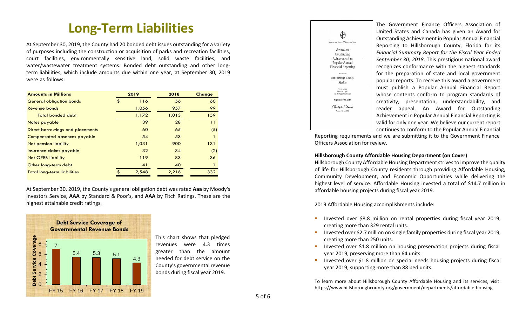### **Long-Term Liabilities**

At September 30, 2019, the County had 20 bonded debt issues outstanding for a variety of purposes including the construction or acquisition of parks and recreation facilities, court facilities, environmentally sensitive land, solid waste facilities, and water/wastewater treatment systems. Bonded debt outstanding and other longterm liabilities, which include amounts due within one year, at September 30, 2019 were as follows:

| <b>Amounts in Millions</b>         | 2019 |       | 2018  | <b>Change</b> |
|------------------------------------|------|-------|-------|---------------|
| <b>General obligation bonds</b>    | \$   | 116   | 56    | 60            |
| Revenue bonds                      |      | 1,056 | 957   | 99            |
| <b>Total bonded debt</b>           |      | 1,172 | 1,013 | 159           |
| Notes payable                      |      | 39    | 28    | 11            |
| Direct borrowings and placements   |      | 60    | 65    | (5)           |
| Compensated absences payable       |      | 54    | 53    |               |
| Net pension liability              |      | 1,031 | 900   | 131           |
| Insurance claims payable           |      | 32    | 34    | (2)           |
| <b>Net OPEB liability</b>          |      | 119   | 83    | 36            |
| Other long-term debt               |      | 41    | 40    |               |
| <b>Total long-term liabilities</b> | \$   | 2,548 | 2,216 | 332           |

At September 30, 2019, the County's general obligation debt was rated **Aaa** by Moody's Investors Service, **AAA** by Standard & Poor's, and **AAA** by Fitch Ratings. These are the highest attainable credit ratings.



This chart shows that pledged revenues were 4.3 times greater than the amount needed for debt service on the County's governmental revenue bonds during fiscal year 2019.



The Government Finance Officers Association of United States and Canada has given an Award for Outstanding Achievement in Popular Annual Financial Reporting to Hillsborough County, Florida for its *Financial Summary Report for the Fiscal Year Ended September 30, 2018*. This prestigious national award recognizes conformance with the highest standards for the preparation of state and local government popular reports. To receive this award a government must publish a Popular Annual Financial Report whose contents conform to program standards of creativity, presentation, understandability, and reader appeal. An Award for Outstanding Achievement in Popular Annual Financial Reporting is valid for only one year. We believe our current report continues to conform to the Popular Annual Financial

 Reporting requirements and we are submitting it to the Government Finance Officers Association for review.

#### **Hillsborough County Affordable Housing Department (on Cover)**

Hillsborough County Affordable Housing Department strives to improve the quality of life for Hillsborough County residents through providing Affordable Housing, Community Development, and Economic Opportunities while delivering the highest level of service. Affordable Housing invested a total of \$14.7 million in affordable housing projects during fiscal year 2019.

2019 Affordable Housing accomplishments include:

- Invested over \$8.8 million on rental properties during fiscal year 2019, creating more than 329 rental units.
- Invested over \$2.7 million on single family properties during fiscal year 2019, creating more than 250 units.
- Invested over \$1.8 million on housing preservation projects during fiscal year 2019, preserving more than 64 units.
- Invested over \$1.8 million on special needs housing projects during fiscal year 2019, supporting more than 88 bed units.

To learn more about Hillsborough County Affordable Housing and its services, visit: To learn more about Hillsborough County Affordable Housing and its services, visi<br>https://www.hillsboroughcounty.org/government/departments/affordable-housing